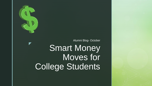

z

# Smart Money Moves for College Students Alumni Blog- October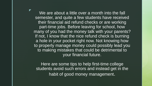$\mathbb{Z}$  We are about a little over a month into the fall semester, and quite a few students have received their financial aid refund checks or are working part-time jobs. Before leaving for school, how many of you had the money talk with your parents? If not, I know that the nice refund check is burning a hole in your pocket right now. Not knowing how to properly manage money could possibly lead you to making mistakes that could be detrimental to your financial future.

Here are some tips to help first-time college students avoid such errors and instead get in the habit of good money management.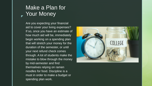# z Your Money Make a Plan for

Are you expecting your financial aid to cover your living expenses? If so, once you have an estimate of how much aid will be, immediately begin working on a spending plan that will stretch your money for the duration of the semester, or until your next refund check comes through. A lot of students make the mistake to blow through the money by mid-semester and find themselves relying on ramen noodles for food. Discipline is a must in order to make a budget or spending plan work.

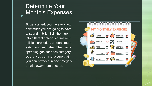# Determine Your Month's Expenses

z

To get started, you have to know how much you are going to have to spend in bills. Split them up into different categories like rent, utilities, groceries, entertainment, eating out, and other. Then set a spending goal for each category so that you can make sure that you don't exceed in one category or take away from another.

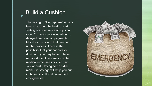# Build a Cushion

z

The saying of "life happens" is very true, so it would be best to start setting some money aside just in case. You may face a situation of delayed financial aid payments. Mistakes occur and that can hold up the process. There is the possibility that your car breaks down and you may have to have repairs done. There may also be medical expenses if you end up sick or hurt. Having some extra money in savings will help you out in those difficult and unplanned emergencies.

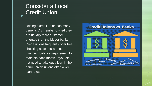### Consider a Local Credit Union

z

Joining a credit union has many benefits. As member-owned they are usually more customer oriented than the bigger banks. Credit unions frequently offer free checking accounts with no minimum balance requirement to maintain each month. If you did not need to take out a loan in the future, credit unions offer lower loan rates.

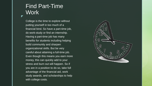### Find Part-Time Work

z

College is the time to explore without putting yourself in too much of a financial bind. So have a part-time job, do work-study or find an internship. Having a part-time job has many benefits for students including helping build community and sharpen organizational skills. But be very careful about attaining a full-time job. Even though this means you earn more money, this can quickly add to your stress and burn out will happen. So if you are in a position to do so, take full advantage of the financial aid, work study awards, and scholarships to help with college costs.

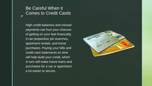#### Be Careful When it Comes to Credit Cards

z

High credit balances and missed payments can hurt your chances of getting on your feet financially. It can jeopardize job searches, apartment rentals, and home purchases. Paying your bills and credit card statements on time will help build your credit, which in turn will make future loans and purchases for a car or apartment a lot easier to secure.

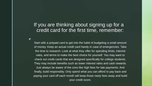### If you are thinking about signing up for a credit card for the first time, remember:

z

Start with a prepaid card to get into the habit of budgeting a small amount of money. Keep an actual credit card handy in case of emergencies. Take the time to research. Look at what they offer for spending limits, interest rates, and terms to make the best choice for yourself. You may want to check out credit cards that are designed specifically for college students. They may include benefits such as lower interest rates and cash rewards. Just always be aware of the cons like high fees for late payments. And finally, build responsibly. Only spend what you can afford to pay back and paying your card off each month will keep those nasty fees away and build your credit score.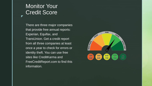# **Monitor Your** Credit Score

z

There are three major companies that provide free annual reports: Experian, Equifax, and TransUnion. Get a credit report from all three companies at least once a year to check for errors or identity theft. You can use free sites like CreditKarma and FreeCreditReport.com to find this information.

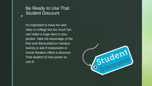#### Be Ready to Use That Student Discount

z

It's important to have fun and relax in college but too much fun can make a huge dent in your pocket. Take full advantage of the free and discounted on-campus events or ask if restaurants or movie theaters offers a discount. That student ID has power so use it!